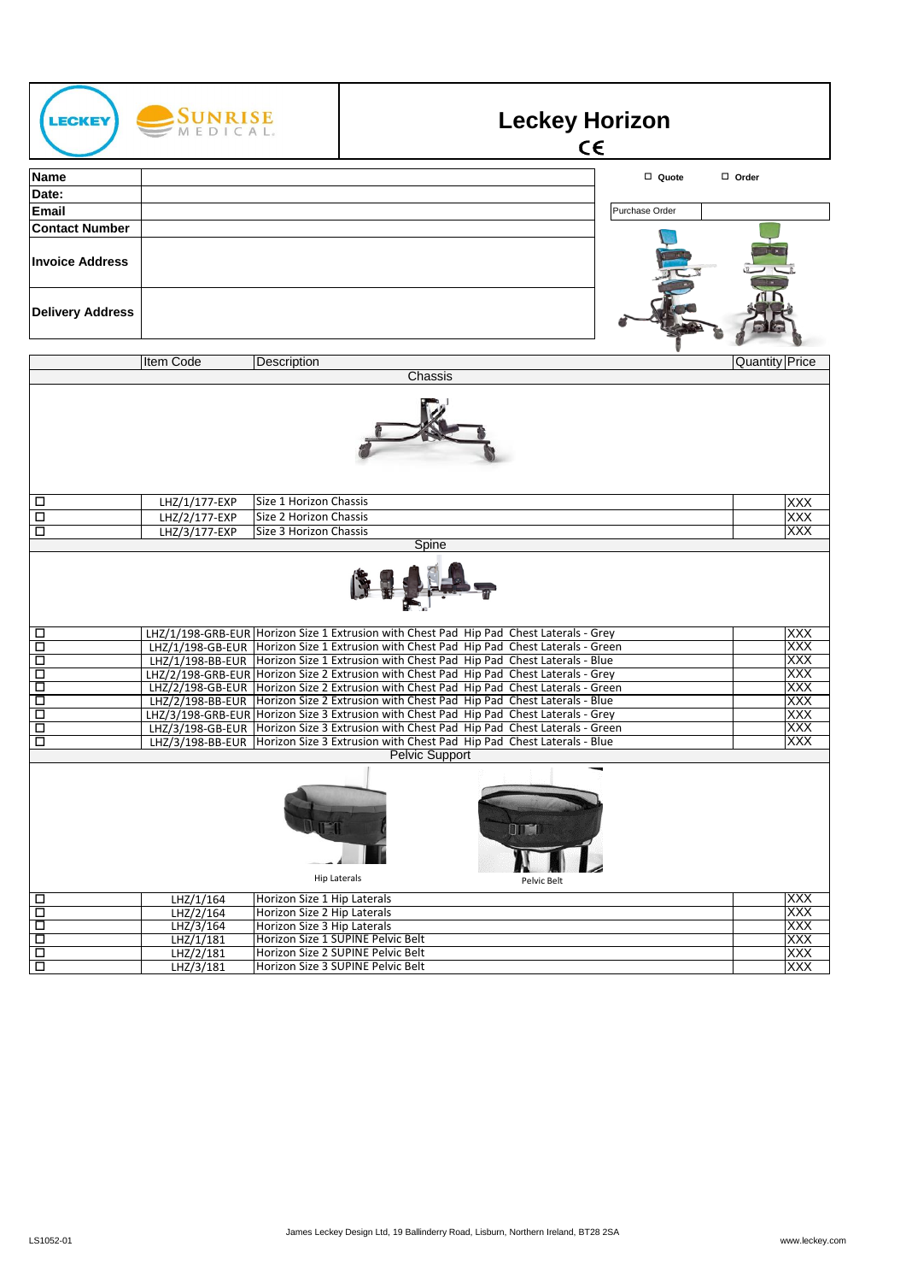| <b>ECKEY</b>                                        | <b>SUNRISE</b> |                             |                                                                                                                                                                                      | <b>Leckey Horizon</b><br>$C \in$ |                |                          |
|-----------------------------------------------------|----------------|-----------------------------|--------------------------------------------------------------------------------------------------------------------------------------------------------------------------------------|----------------------------------|----------------|--------------------------|
| <b>Name</b>                                         |                |                             |                                                                                                                                                                                      |                                  | □ Quote        | $\Box$ Order             |
| Date:                                               |                |                             |                                                                                                                                                                                      |                                  |                |                          |
| <b>Email</b>                                        |                |                             |                                                                                                                                                                                      |                                  | Purchase Order |                          |
| <b>Contact Number</b>                               |                |                             |                                                                                                                                                                                      |                                  |                |                          |
| <b>Invoice Address</b>                              |                |                             |                                                                                                                                                                                      |                                  |                |                          |
| <b>Delivery Address</b>                             |                |                             |                                                                                                                                                                                      |                                  |                |                          |
|                                                     | Item Code      | Description                 |                                                                                                                                                                                      |                                  |                | <b>Quantity Price</b>    |
|                                                     |                |                             | Chassis                                                                                                                                                                              |                                  |                |                          |
| □                                                   | LHZ/1/177-EXP  | Size 1 Horizon Chassis      |                                                                                                                                                                                      |                                  |                | XXX                      |
| □                                                   | LHZ/2/177-EXP  | Size 2 Horizon Chassis      |                                                                                                                                                                                      |                                  |                | XXX                      |
| □                                                   | LHZ/3/177-EXP  | Size 3 Horizon Chassis      | Spine                                                                                                                                                                                |                                  |                | XXX                      |
|                                                     |                |                             |                                                                                                                                                                                      |                                  |                |                          |
| □                                                   |                |                             | LHZ/1/198-GRB-EUR Horizon Size 1 Extrusion with Chest Pad Hip Pad Chest Laterals - Grey                                                                                              |                                  |                | <b>XXX</b>               |
| □<br>□                                              |                |                             | LHZ/1/198-GB-EUR   Horizon Size 1 Extrusion with Chest Pad Hip Pad Chest Laterals - Green<br>LHZ/1/198-BB-EUR Horizon Size 1 Extrusion with Chest Pad Hip Pad Chest Laterals - Blue  |                                  |                | XXX<br>XXX               |
| □                                                   |                |                             | LHZ/2/198-GRB-EUR Horizon Size 2 Extrusion with Chest Pad Hip Pad Chest Laterals - Grey                                                                                              |                                  |                | XXX                      |
| □                                                   |                |                             | LHZ/2/198-GB-EUR Horizon Size 2 Extrusion with Chest Pad Hip Pad Chest Laterals - Green                                                                                              |                                  |                | XXX                      |
| □                                                   |                |                             | LHZ/2/198-BB-EUR   Horizon Size 2 Extrusion with Chest Pad Hip Pad Chest Laterals - Blue                                                                                             |                                  |                | XXX                      |
| □<br>$\Box$                                         |                |                             | LHZ/3/198-GRB-EUR Horizon Size 3 Extrusion with Chest Pad Hip Pad Chest Laterals - Grey<br>LHZ/3/198-GB-EUR   Horizon Size 3 Extrusion with Chest Pad Hip Pad Chest Laterals - Green |                                  |                | <b>XXX</b><br><b>XXX</b> |
| □                                                   |                |                             | LHZ/3/198-BB-EUR Horizon Size 3 Extrusion with Chest Pad Hip Pad Chest Laterals - Blue                                                                                               |                                  |                | XXX                      |
|                                                     |                |                             | <b>Pelvic Support</b>                                                                                                                                                                |                                  |                |                          |
| <b>OID ST</b><br><b>Hip Laterals</b><br>Pelvic Belt |                |                             |                                                                                                                                                                                      |                                  |                |                          |
| □                                                   | LHZ/1/164      | Horizon Size 1 Hip Laterals |                                                                                                                                                                                      |                                  |                | XXX                      |
| П                                                   | LHZ/2/164      | Horizon Size 2 Hip Laterals |                                                                                                                                                                                      |                                  |                | XXX                      |
| Ξ                                                   | LHZ/3/164      | Horizon Size 3 Hip Laterals |                                                                                                                                                                                      |                                  |                | XXX                      |
| $\Box$                                              | LHZ/1/181      |                             | Horizon Size 1 SUPINE Pelvic Belt                                                                                                                                                    |                                  |                | XXX                      |
| Ō<br>Ξ                                              | LHZ/2/181      |                             | Horizon Size 2 SUPINE Pelvic Belt<br>Horizon Size 3 SUPINE Pelvic Belt                                                                                                               |                                  |                | XXX<br>XXX               |
|                                                     | LHZ/3/181      |                             |                                                                                                                                                                                      |                                  |                |                          |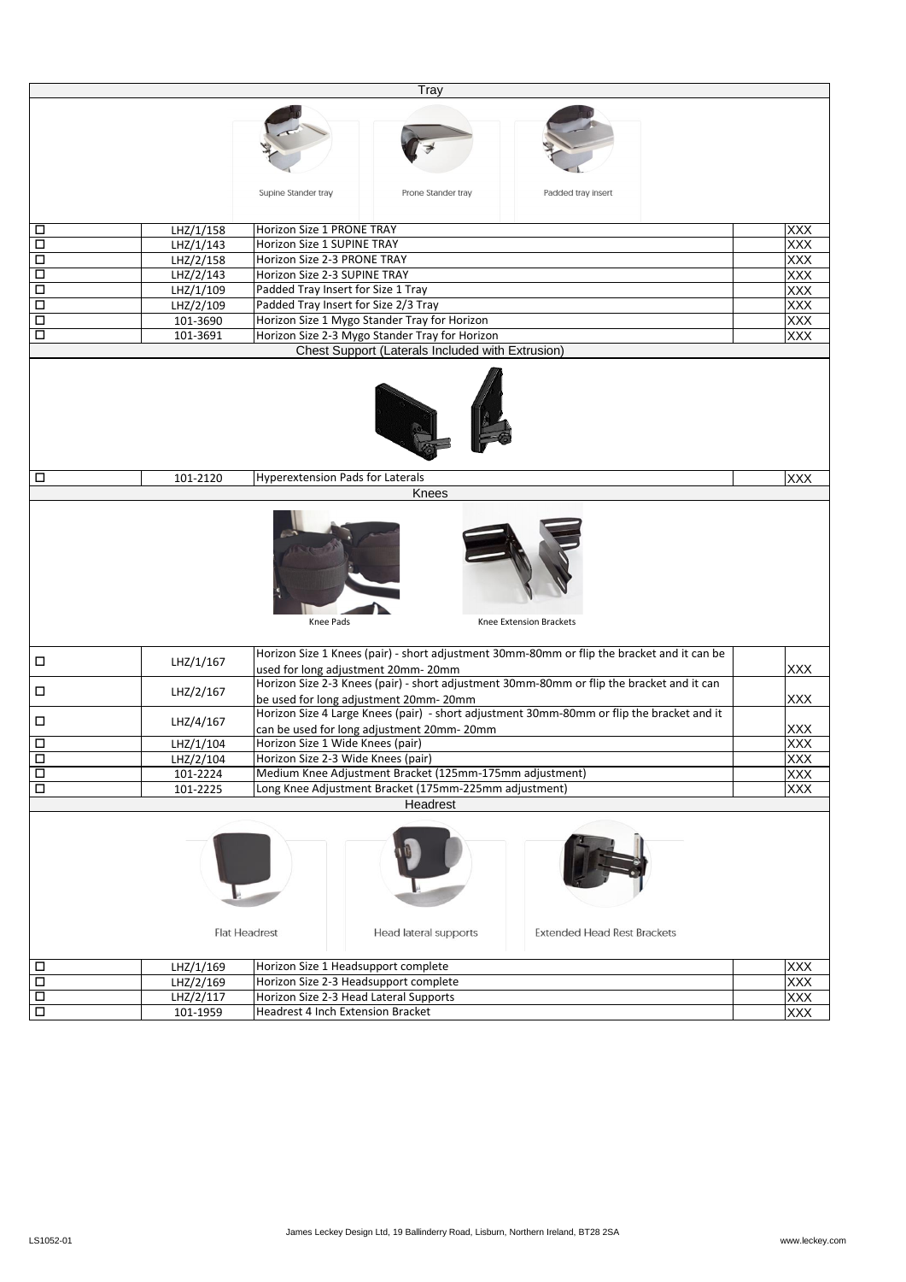|                                                                                     |           | Tray                                                                                                             |                          |  |  |
|-------------------------------------------------------------------------------------|-----------|------------------------------------------------------------------------------------------------------------------|--------------------------|--|--|
|                                                                                     |           |                                                                                                                  |                          |  |  |
|                                                                                     |           |                                                                                                                  |                          |  |  |
|                                                                                     |           |                                                                                                                  |                          |  |  |
|                                                                                     |           |                                                                                                                  |                          |  |  |
|                                                                                     |           |                                                                                                                  |                          |  |  |
|                                                                                     |           | Supine Stander tray<br>Prone Stander tray<br>Padded tray insert                                                  |                          |  |  |
|                                                                                     |           |                                                                                                                  |                          |  |  |
|                                                                                     |           |                                                                                                                  |                          |  |  |
| □                                                                                   | LHZ/1/158 | Horizon Size 1 PRONE TRAY                                                                                        | <b>XXX</b><br>XXX        |  |  |
| □                                                                                   | LHZ/1/143 | Horizon Size 1 SUPINE TRAY                                                                                       |                          |  |  |
| □                                                                                   | LHZ/2/158 | Horizon Size 2-3 PRONE TRAY<br><b>XXX</b><br>XXX                                                                 |                          |  |  |
| □                                                                                   | LHZ/2/143 | Horizon Size 2-3 SUPINE TRAY                                                                                     |                          |  |  |
| □                                                                                   | LHZ/1/109 | Padded Tray Insert for Size 1 Tray                                                                               |                          |  |  |
| □                                                                                   | LHZ/2/109 | Padded Tray Insert for Size 2/3 Tray                                                                             |                          |  |  |
| □                                                                                   | 101-3690  | Horizon Size 1 Mygo Stander Tray for Horizon                                                                     |                          |  |  |
| □                                                                                   | 101-3691  | Horizon Size 2-3 Mygo Stander Tray for Horizon<br><b>XXX</b><br>Chest Support (Laterals Included with Extrusion) |                          |  |  |
|                                                                                     |           |                                                                                                                  |                          |  |  |
|                                                                                     |           |                                                                                                                  |                          |  |  |
|                                                                                     |           |                                                                                                                  |                          |  |  |
|                                                                                     |           |                                                                                                                  |                          |  |  |
|                                                                                     |           |                                                                                                                  |                          |  |  |
|                                                                                     |           |                                                                                                                  |                          |  |  |
|                                                                                     |           |                                                                                                                  |                          |  |  |
|                                                                                     |           |                                                                                                                  |                          |  |  |
| □                                                                                   | 101-2120  | <b>Hyperextension Pads for Laterals</b>                                                                          | <b>XXX</b>               |  |  |
|                                                                                     |           | Knees                                                                                                            |                          |  |  |
|                                                                                     |           |                                                                                                                  |                          |  |  |
|                                                                                     |           |                                                                                                                  |                          |  |  |
|                                                                                     |           |                                                                                                                  |                          |  |  |
|                                                                                     |           |                                                                                                                  |                          |  |  |
|                                                                                     |           |                                                                                                                  |                          |  |  |
|                                                                                     |           |                                                                                                                  |                          |  |  |
|                                                                                     |           |                                                                                                                  |                          |  |  |
|                                                                                     |           | Knee Extension Brackets<br>Knee Pads                                                                             |                          |  |  |
|                                                                                     |           |                                                                                                                  |                          |  |  |
|                                                                                     |           | Horizon Size 1 Knees (pair) - short adjustment 30mm-80mm or flip the bracket and it can be                       |                          |  |  |
| □                                                                                   | LHZ/1/167 | used for long adjustment 20mm-20mm                                                                               |                          |  |  |
|                                                                                     |           | Horizon Size 2-3 Knees (pair) - short adjustment 30mm-80mm or flip the bracket and it can                        |                          |  |  |
| □                                                                                   | LHZ/2/167 | be used for long adjustment 20mm-20mm                                                                            |                          |  |  |
| □                                                                                   | LHZ/4/167 | Horizon Size 4 Large Knees (pair) - short adjustment 30mm-80mm or flip the bracket and it                        |                          |  |  |
|                                                                                     |           | can be used for long adjustment 20mm-20mm                                                                        |                          |  |  |
| □                                                                                   | LHZ/1/104 | Horizon Size 1 Wide Knees (pair)                                                                                 |                          |  |  |
| $\overline{\square}$                                                                | LHZ/2/104 | Horizon Size 2-3 Wide Knees (pair)                                                                               |                          |  |  |
| $\Box$                                                                              | 101-2224  | Medium Knee Adjustment Bracket (125mm-175mm adjustment)                                                          |                          |  |  |
| □                                                                                   | 101-2225  | Long Knee Adjustment Bracket (175mm-225mm adjustment)                                                            |                          |  |  |
|                                                                                     |           | Headrest                                                                                                         |                          |  |  |
|                                                                                     |           |                                                                                                                  |                          |  |  |
|                                                                                     |           |                                                                                                                  |                          |  |  |
|                                                                                     |           |                                                                                                                  |                          |  |  |
|                                                                                     |           |                                                                                                                  |                          |  |  |
|                                                                                     |           |                                                                                                                  |                          |  |  |
|                                                                                     |           |                                                                                                                  |                          |  |  |
|                                                                                     |           |                                                                                                                  |                          |  |  |
| <b>Flat Headrest</b><br><b>Extended Head Rest Brackets</b><br>Head lateral supports |           |                                                                                                                  |                          |  |  |
|                                                                                     |           |                                                                                                                  |                          |  |  |
|                                                                                     |           |                                                                                                                  |                          |  |  |
| □<br>П                                                                              | LHZ/1/169 | Horizon Size 1 Headsupport complete<br>Horizon Size 2-3 Headsupport complete                                     | <b>XXX</b>               |  |  |
| $\Box$                                                                              | LHZ/2/169 | Horizon Size 2-3 Head Lateral Supports                                                                           | XXX                      |  |  |
|                                                                                     | LHZ/2/117 |                                                                                                                  | <b>XXX</b><br><b>XXX</b> |  |  |
| $\Box$                                                                              | 101-1959  | Headrest 4 Inch Extension Bracket                                                                                |                          |  |  |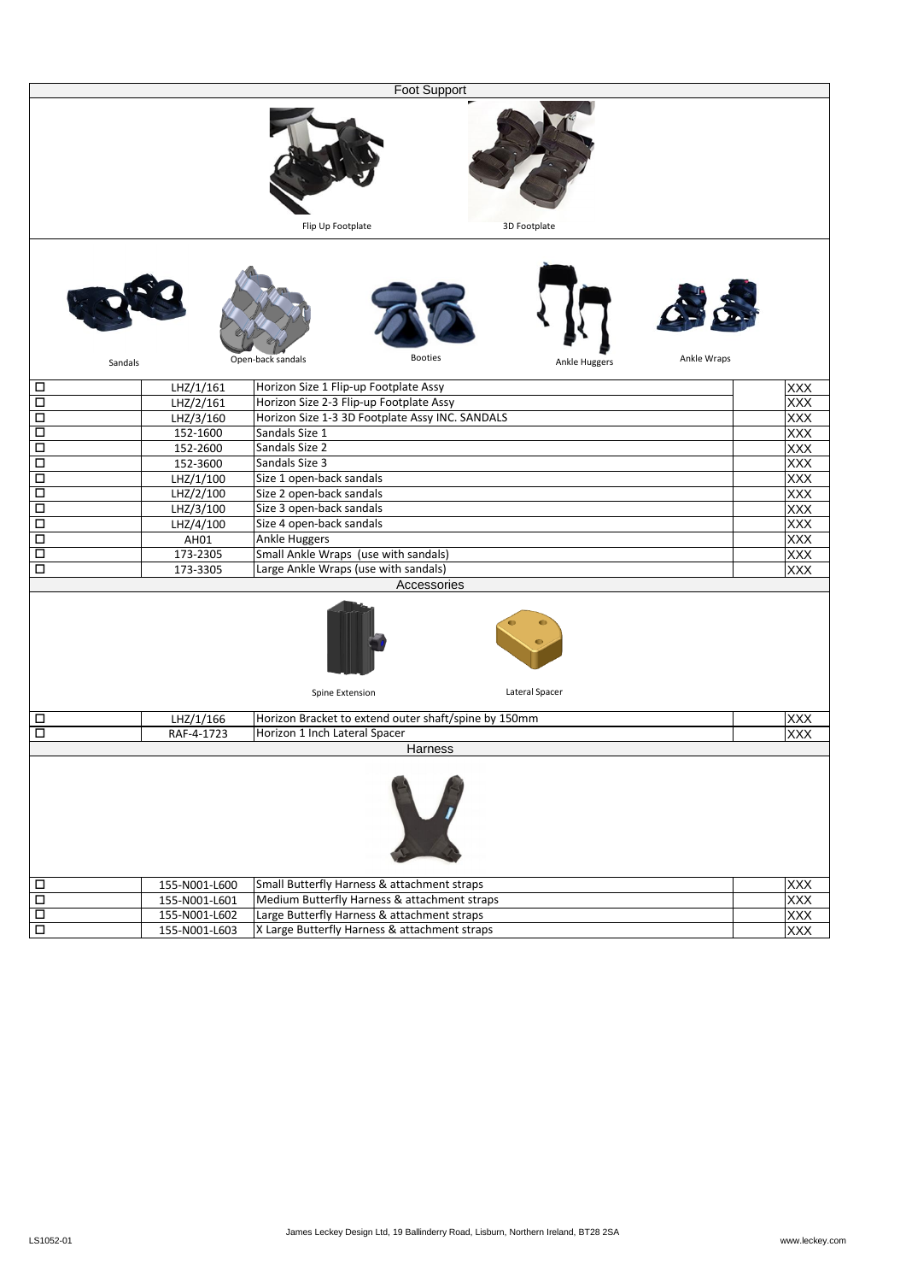| <b>Foot Support</b>  |                        |                                       |                                                                                            |                |             |                   |  |
|----------------------|------------------------|---------------------------------------|--------------------------------------------------------------------------------------------|----------------|-------------|-------------------|--|
|                      |                        | Flip Up Footplate                     |                                                                                            | 3D Footplate   |             |                   |  |
|                      | Sandals                | Open-back sandals                     | <b>Booties</b>                                                                             | Ankle Huggers  | Ankle Wraps |                   |  |
|                      |                        |                                       |                                                                                            |                |             |                   |  |
| □                    | LHZ/1/161<br>LHZ/2/161 | Horizon Size 1 Flip-up Footplate Assy |                                                                                            |                |             | <b>XXX</b><br>XXX |  |
| □<br>□               | LHZ/3/160              |                                       | Horizon Size 2-3 Flip-up Footplate Assy<br>Horizon Size 1-3 3D Footplate Assy INC. SANDALS |                |             |                   |  |
| □                    | 152-1600               | Sandals Size 1                        |                                                                                            |                |             |                   |  |
| □                    | 152-2600               | Sandals Size 2                        |                                                                                            |                |             | <b>XXX</b><br>XXX |  |
| □                    | 152-3600               | Sandals Size 3                        |                                                                                            |                |             | XXX               |  |
| □                    | LHZ/1/100              | Size 1 open-back sandals              |                                                                                            |                |             | XXX               |  |
| □                    | LHZ/2/100              |                                       | Size 2 open-back sandals                                                                   |                |             |                   |  |
| □                    | LHZ/3/100              |                                       | Size 3 open-back sandals                                                                   |                |             |                   |  |
| □                    | LHZ/4/100              | Size 4 open-back sandals              |                                                                                            |                |             | XXX<br>XXX        |  |
| □                    | AH01                   | <b>Ankle Huggers</b>                  |                                                                                            |                |             |                   |  |
| $\Box$               | 173-2305               |                                       | Small Ankle Wraps (use with sandals)                                                       |                |             |                   |  |
| □                    | 173-3305               | Large Ankle Wraps (use with sandals)  |                                                                                            |                |             |                   |  |
|                      | Accessories            |                                       |                                                                                            |                |             | XXX               |  |
|                      |                        | Spine Extension                       |                                                                                            | Lateral Spacer |             |                   |  |
| □                    | LHZ/1/166              |                                       | Horizon Bracket to extend outer shaft/spine by 150mm                                       |                |             | <b>XXX</b>        |  |
| $\Box$               | RAF-4-1723             | Horizon 1 Inch Lateral Spacer         |                                                                                            |                |             | <b>XXX</b>        |  |
|                      |                        |                                       | Harness                                                                                    |                |             |                   |  |
|                      |                        |                                       |                                                                                            |                |             |                   |  |
| $\Box$               | 155-N001-L600          |                                       | Small Butterfly Harness & attachment straps                                                |                |             | XXX<br>XXX        |  |
| $\overline{\square}$ | 155-N001-L601          |                                       | Medium Butterfly Harness & attachment straps                                               |                |             |                   |  |
| $\Box$               | 155-N001-L602          |                                       | Large Butterfly Harness & attachment straps                                                |                |             | <b>XXX</b>        |  |
| $\overline{\Box}$    | 155-N001-L603          |                                       | X Large Butterfly Harness & attachment straps                                              |                |             | XXX               |  |